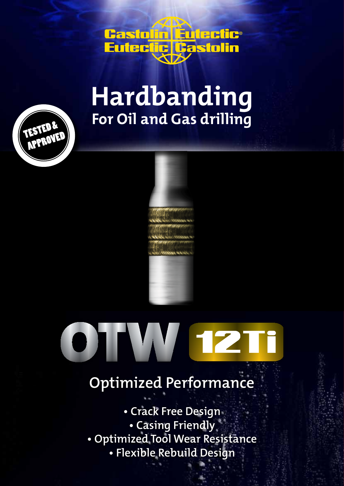

## **For Oil and Gas drilling Hardbanding**





## **Optimized Performance**

asign<br>13CF<br>13CF - 13CF - 13CF - 13CF - 13CF - 13CF - 13CF - 13CF - 13CF - 13CF - 13CF - 13CF - 13CF - 13CF - 13CF - 13CF **• Crack Free Design • Casing Friendly • Optimized Tool Wear Resistance • Flexible Rebuild Design**

16XS 736 68 8 17